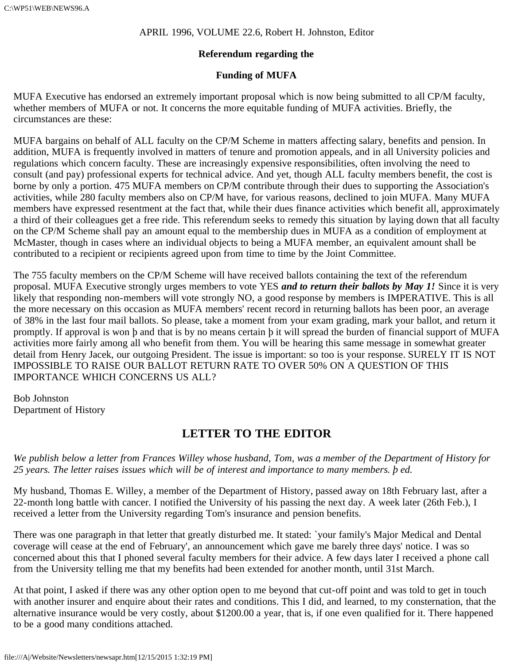#### APRIL 1996, VOLUME 22.6, Robert H. Johnston, Editor

#### **Referendum regarding the**

#### **Funding of MUFA**

MUFA Executive has endorsed an extremely important proposal which is now being submitted to all CP/M faculty, whether members of MUFA or not. It concerns the more equitable funding of MUFA activities. Briefly, the circumstances are these:

MUFA bargains on behalf of ALL faculty on the CP/M Scheme in matters affecting salary, benefits and pension. In addition, MUFA is frequently involved in matters of tenure and promotion appeals, and in all University policies and regulations which concern faculty. These are increasingly expensive responsibilities, often involving the need to consult (and pay) professional experts for technical advice. And yet, though ALL faculty members benefit, the cost is borne by only a portion. 475 MUFA members on CP/M contribute through their dues to supporting the Association's activities, while 280 faculty members also on CP/M have, for various reasons, declined to join MUFA. Many MUFA members have expressed resentment at the fact that, while their dues finance activities which benefit all, approximately a third of their colleagues get a free ride. This referendum seeks to remedy this situation by laying down that all faculty on the CP/M Scheme shall pay an amount equal to the membership dues in MUFA as a condition of employment at McMaster, though in cases where an individual objects to being a MUFA member, an equivalent amount shall be contributed to a recipient or recipients agreed upon from time to time by the Joint Committee.

The 755 faculty members on the CP/M Scheme will have received ballots containing the text of the referendum proposal. MUFA Executive strongly urges members to vote YES *and to return their ballots by May 1!* Since it is very likely that responding non-members will vote strongly NO, a good response by members is IMPERATIVE. This is all the more necessary on this occasion as MUFA members' recent record in returning ballots has been poor, an average of 38% in the last four mail ballots. So please, take a moment from your exam grading, mark your ballot, and return it promptly. If approval is won þ and that is by no means certain þ it will spread the burden of financial support of MUFA activities more fairly among all who benefit from them. You will be hearing this same message in somewhat greater detail from Henry Jacek, our outgoing President. The issue is important: so too is your response. SURELY IT IS NOT IMPOSSIBLE TO RAISE OUR BALLOT RETURN RATE TO OVER 50% ON A QUESTION OF THIS IMPORTANCE WHICH CONCERNS US ALL?

Bob Johnston Department of History

# **LETTER TO THE EDITOR**

*We publish below a letter from Frances Willey whose husband, Tom, was a member of the Department of History for 25 years. The letter raises issues which will be of interest and importance to many members. þ ed.*

My husband, Thomas E. Willey, a member of the Department of History, passed away on 18th February last, after a 22-month long battle with cancer. I notified the University of his passing the next day. A week later (26th Feb.), I received a letter from the University regarding Tom's insurance and pension benefits.

There was one paragraph in that letter that greatly disturbed me. It stated: `your family's Major Medical and Dental coverage will cease at the end of February', an announcement which gave me barely three days' notice. I was so concerned about this that I phoned several faculty members for their advice. A few days later I received a phone call from the University telling me that my benefits had been extended for another month, until 31st March.

At that point, I asked if there was any other option open to me beyond that cut-off point and was told to get in touch with another insurer and enquire about their rates and conditions. This I did, and learned, to my consternation, that the alternative insurance would be very costly, about \$1200.00 a year, that is, if one even qualified for it. There happened to be a good many conditions attached.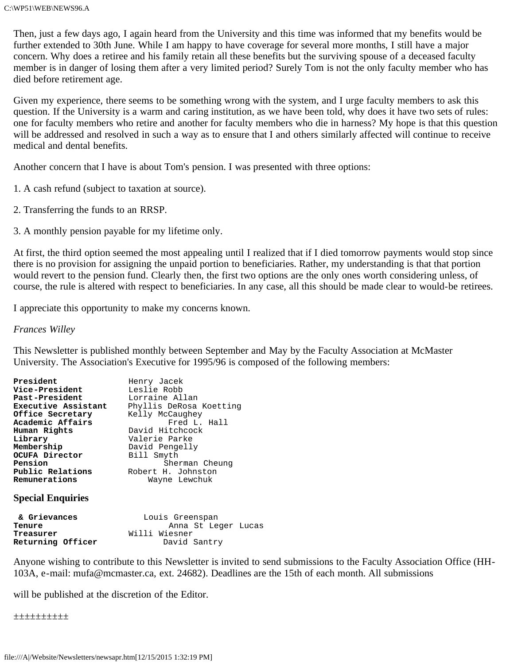Then, just a few days ago, I again heard from the University and this time was informed that my benefits would be further extended to 30th June. While I am happy to have coverage for several more months, I still have a major concern. Why does a retiree and his family retain all these benefits but the surviving spouse of a deceased faculty member is in danger of losing them after a very limited period? Surely Tom is not the only faculty member who has died before retirement age.

Given my experience, there seems to be something wrong with the system, and I urge faculty members to ask this question. If the University is a warm and caring institution, as we have been told, why does it have two sets of rules: one for faculty members who retire and another for faculty members who die in harness? My hope is that this question will be addressed and resolved in such a way as to ensure that I and others similarly affected will continue to receive medical and dental benefits.

Another concern that I have is about Tom's pension. I was presented with three options:

- 1. A cash refund (subject to taxation at source).
- 2. Transferring the funds to an RRSP.
- 3. A monthly pension payable for my lifetime only.

At first, the third option seemed the most appealing until I realized that if I died tomorrow payments would stop since there is no provision for assigning the unpaid portion to beneficiaries. Rather, my understanding is that that portion would revert to the pension fund. Clearly then, the first two options are the only ones worth considering unless, of course, the rule is altered with respect to beneficiaries. In any case, all this should be made clear to would-be retirees.

I appreciate this opportunity to make my concerns known.

#### *Frances Willey*

This Newsletter is published monthly between September and May by the Faculty Association at McMaster University. The Association's Executive for 1995/96 is composed of the following members:

| President                | Henry Jacek             |
|--------------------------|-------------------------|
| Vice-President           | Leslie Robb             |
| Past-President           | Lorraine Allan          |
| Executive Assistant      | Phyllis DeRosa Koetting |
| Office Secretary         | Kelly McCaughey         |
| Academic Affairs         | Fred L. Hall            |
| Human Rights             | David Hitchcock         |
| Library                  | Valerie Parke           |
| Membership               | David Pengelly          |
| OCUFA Director           | Bill Smyth              |
| Pension                  | Sherman Cheung          |
| Public Relations         | Robert H. Johnston      |
| Remunerations            | Wayne Lewchuk           |
| <b>Special Enquiries</b> |                         |
| s Crievances             | Louis Creensnan         |

| Louis Greenspan     |
|---------------------|
| Anna St Leger Lucas |
| Willi Wiesner       |
| David Santry        |
|                     |

Anyone wishing to contribute to this Newsletter is invited to send submissions to the Faculty Association Office (HH-103A, e-mail: mufa@mcmaster.ca, ext. 24682). Deadlines are the 15th of each month. All submissions

will be published at the discretion of the Editor.

±±±±±±±±±±